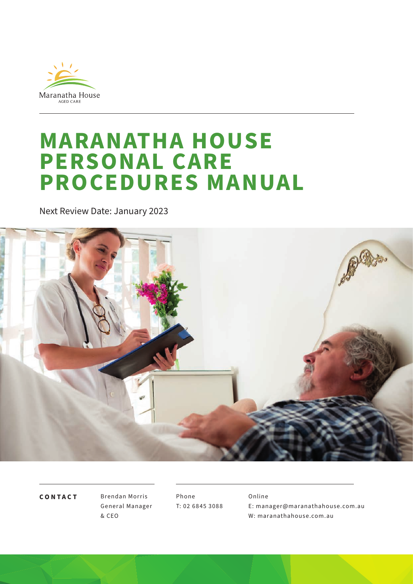

# **MARANATHA HOUSE PERSONAL CARE PROCEDURES MANUAL**

Next Review Date: January 2023



**CONTACT**

Brendan Morris General Manager & CEO

Phone T: 02 68 45 3088 Online E: manager@maranathahouse.com.au W: maranathahouse.com.au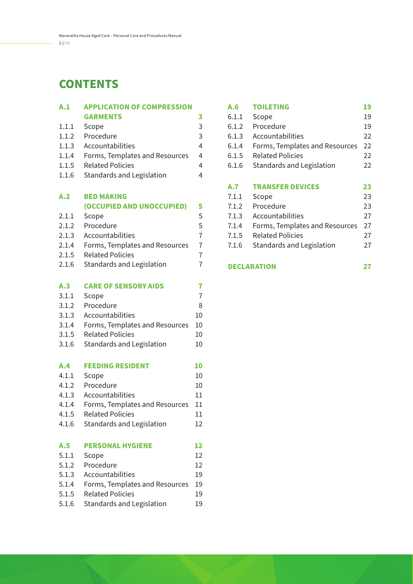## **CONTENTS**

| A.1   | <b>APPLICATION OF COMPRESSION</b> |                |
|-------|-----------------------------------|----------------|
|       | <b>GARMENTS</b>                   | 3              |
| 1.1.1 | Scope                             | 3              |
| 1.1.2 | Procedure                         | 3              |
| 1.1.3 | Accountabilities                  | $\overline{4}$ |
| 1.1.4 | Forms, Templates and Resources    | 4              |
| 1.1.5 | <b>Related Policies</b>           | 4              |
| 1.1.6 | <b>Standards and Legislation</b>  | 4              |
| A.2   | <b>BED MAKING</b>                 |                |
|       | (OCCUPIED AND UNOCCUPIED)         | 5              |
| 2.1.1 | Scope                             | 5              |
| 2.1.2 | Procedure                         | 5              |
| 2.1.3 | Accountabilities                  | $\overline{7}$ |
| 2.1.4 | Forms, Templates and Resources    | $\overline{7}$ |
| 2.1.5 | <b>Related Policies</b>           | $\overline{7}$ |
| 2.1.6 | <b>Standards and Legislation</b>  | $\overline{7}$ |
| A.3   | <b>CARE OF SENSORY AIDS</b>       | 7              |
| 3.1.1 | Scope                             | $\overline{7}$ |
| 3.1.2 | Procedure                         | 8              |
| 3.1.3 | Accountabilities                  | 10             |
| 3.1.4 | Forms, Templates and Resources    | 10             |
| 3.1.5 | <b>Related Policies</b>           | 10             |
| 3.1.6 | <b>Standards and Legislation</b>  | 10             |
| A.4   | <b>FEEDING RESIDENT</b>           | 10             |
| 4.1.1 | Scope                             | 10             |
| 4.1.2 | Procedure                         | 10             |
| 4.1.3 | Accountabilities                  | 11             |
| 4.1.4 | Forms, Templates and Resources    | 11             |
| 4.1.5 | <b>Related Policies</b>           | 11             |
| 4.1.6 | Standards and Legislation         | 12             |
| A.5   | <b>PERSONAL HYGIENE</b>           | 12             |
| 5.1.1 | Scope                             | 12             |
| 5.1.2 | Procedure                         | 12             |
| 5.1.3 | Accountabilities                  | 19             |
| 5.1.4 | Forms, Templates and Resources    | 19             |
| 5.1.5 | <b>Related Policies</b>           | 19             |
| 5.1.6 | <b>Standards and Legislation</b>  | 19             |

| A.6   | <b>TOILETING</b>               | 19 |
|-------|--------------------------------|----|
| 6.1.1 | Scope                          | 19 |
| 6.1.2 | Procedure                      | 19 |
| 6.1.3 | Accountabilities               | 22 |
| 6.1.4 | Forms, Templates and Resources | 22 |
| 6.1.5 | <b>Related Policies</b>        | 22 |
| 6.1.6 | Standards and Legislation      | 22 |
|       |                                |    |
|       |                                |    |
| A.7   | <b>TRANSFER DEVICES</b>        | 23 |
| 7.1.1 | Scope                          | 23 |
| 7.1.2 | Procedure                      | 23 |
| 7.1.3 | Accountabilities               | 27 |
| 7.1.4 | Forms, Templates and Resources | 27 |
| 7.1.5 | <b>Related Policies</b>        | 27 |
| 7.1.6 | Standards and Legislation      | 27 |

#### **DECLARATION 27**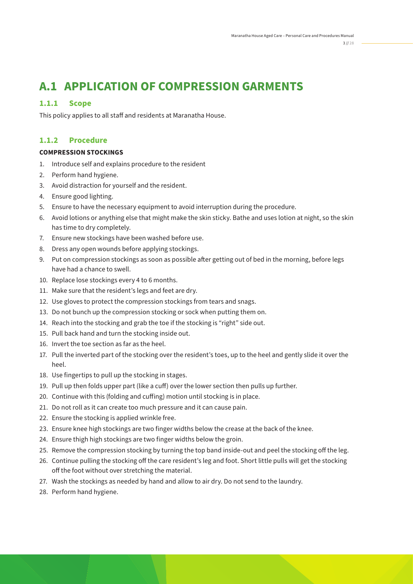## **A.1 APPLICATION OF COMPRESSION GARMENTS**

#### **1.1.1 Scope**

This policy applies to all staff and residents at Maranatha House.

#### **1.1.2 Procedure**

#### **COMPRESSION STOCKINGS**

- 1. Introduce self and explains procedure to the resident
- 2. Perform hand hygiene.
- 3. Avoid distraction for yourself and the resident.
- 4. Ensure good lighting.
- 5. Ensure to have the necessary equipment to avoid interruption during the procedure.
- 6. Avoid lotions or anything else that might make the skin sticky. Bathe and uses lotion at night, so the skin has time to dry completely.
- 7. Ensure new stockings have been washed before use.
- 8. Dress any open wounds before applying stockings.
- 9. Put on compression stockings as soon as possible after getting out of bed in the morning, before legs have had a chance to swell.
- 10. Replace lose stockings every 4 to 6 months.
- 11. Make sure that the resident's legs and feet are dry.
- 12. Use gloves to protect the compression stockings from tears and snags.
- 13. Do not bunch up the compression stocking or sock when putting them on.
- 14. Reach into the stocking and grab the toe if the stocking is "right" side out.
- 15. Pull back hand and turn the stocking inside out.
- 16. Invert the toe section as far as the heel.
- 17. Pull the inverted part of the stocking over the resident's toes, up to the heel and gently slide it over the heel.
- 18. Use fingertips to pull up the stocking in stages.
- 19. Pull up then folds upper part (like a cuff) over the lower section then pulls up further.
- 20. Continue with this (folding and cuffing) motion until stocking is in place.
- 21. Do not roll as it can create too much pressure and it can cause pain.
- 22. Ensure the stocking is applied wrinkle free.
- 23. Ensure knee high stockings are two finger widths below the crease at the back of the knee.
- 24. Ensure thigh high stockings are two finger widths below the groin.
- 25. Remove the compression stocking by turning the top band inside-out and peel the stocking off the leg.
- 26. Continue pulling the stocking off the care resident's leg and foot. Short little pulls will get the stocking off the foot without over stretching the material.
- 27. Wash the stockings as needed by hand and allow to air dry. Do not send to the laundry.
- 28. Perform hand hygiene.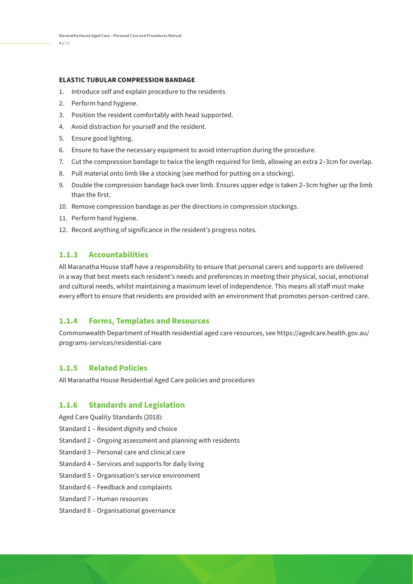#### **ELASTIC TUBULAR COMPRESSION BANDAGE**

- 1. Introduce self and explain procedure to the residents
- 2. Perform hand hygiene.
- 3. Position the resident comfortably with head supported.
- 4. Avoid distraction for yourself and the resident.
- 5. Ensure good lighting.
- 6. Ensure to have the necessary equipment to avoid interruption during the procedure.
- 7. Cut the compression bandage to twice the length required for limb, allowing an extra 2–3cm for overlap.
- 8. Pull material onto limb like a stocking (see method for putting on a stocking).
- 9. Double the compression bandage back over limb. Ensures upper edge is taken 2–3cm higher up the limb than the first.
- 10. Remove compression bandage as per the directions in compression stockings.
- 11. Perform hand hygiene.
- 12. Record anything of significance in the resident's progress notes.

#### **1.1.3 Accountabilities**

All Maranatha House staff have a responsibility to ensure that personal carers and supports are delivered in a way that best meets each resident's needs and preferences in meeting their physical, social, emotional and cultural needs, whilst maintaining a maximum level of independence. This means all staff must make every effort to ensure that residents are provided with an environment that promotes person-centred care.

#### **1.1.4 Forms, Templates and Resources**

Commonwealth Department of Health residential aged care resources, see https://agedcare.health.gov.au/ programs-services/residential-care

#### **1.1.5 Related Policies**

All Maranatha House Residential Aged Care policies and procedures

#### **1.1.6 Standards and Legislation**

Aged Care Quality Standards (2018):

- Standard 1 Resident dignity and choice
- Standard 2 Ongoing assessment and planning with residents
- Standard 3 Personal care and clinical care
- Standard 4 Services and supports for daily living
- Standard 5 Organisation's service environment
- Standard 6 Feedback and complaints
- Standard 7 Human resources
- Standard 8 Organisational governance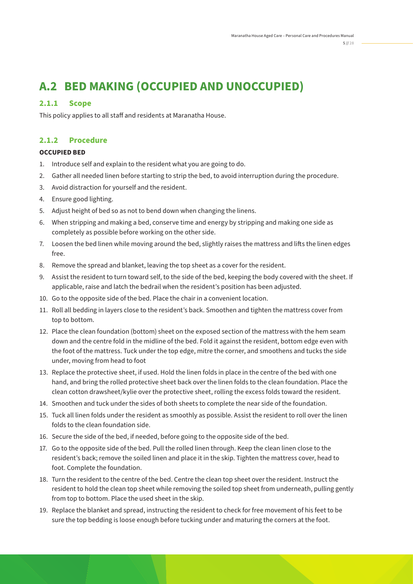# **A.2 BED MAKING (OCCUPIED AND UNOCCUPIED)**

#### **2.1.1 Scope**

This policy applies to all staff and residents at Maranatha House.

#### **2.1.2 Procedure**

#### **OCCUPIED BED**

- 1. Introduce self and explain to the resident what you are going to do.
- 2. Gather all needed linen before starting to strip the bed, to avoid interruption during the procedure.
- 3. Avoid distraction for yourself and the resident.
- 4. Ensure good lighting.
- 5. Adjust height of bed so as not to bend down when changing the linens.
- 6. When stripping and making a bed, conserve time and energy by stripping and making one side as completely as possible before working on the other side.
- 7. Loosen the bed linen while moving around the bed, slightly raises the mattress and lifts the linen edges free.
- 8. Remove the spread and blanket, leaving the top sheet as a cover for the resident.
- 9. Assist the resident to turn toward self, to the side of the bed, keeping the body covered with the sheet. If applicable, raise and latch the bedrail when the resident's position has been adjusted.
- 10. Go to the opposite side of the bed. Place the chair in a convenient location.
- 11. Roll all bedding in layers close to the resident's back. Smoothen and tighten the mattress cover from top to bottom.
- 12. Place the clean foundation (bottom) sheet on the exposed section of the mattress with the hem seam down and the centre fold in the midline of the bed. Fold it against the resident, bottom edge even with the foot of the mattress. Tuck under the top edge, mitre the corner, and smoothens and tucks the side under, moving from head to foot
- 13. Replace the protective sheet, if used. Hold the linen folds in place in the centre of the bed with one hand, and bring the rolled protective sheet back over the linen folds to the clean foundation. Place the clean cotton drawsheet/kylie over the protective sheet, rolling the excess folds toward the resident.
- 14. Smoothen and tuck under the sides of both sheets to complete the near side of the foundation.
- 15. Tuck all linen folds under the resident as smoothly as possible. Assist the resident to roll over the linen folds to the clean foundation side.
- 16. Secure the side of the bed, if needed, before going to the opposite side of the bed.
- 17. Go to the opposite side of the bed. Pull the rolled linen through. Keep the clean linen close to the resident's back; remove the soiled linen and place it in the skip. Tighten the mattress cover, head to foot. Complete the foundation.
- 18. Turn the resident to the centre of the bed. Centre the clean top sheet over the resident. Instruct the resident to hold the clean top sheet while removing the soiled top sheet from underneath, pulling gently from top to bottom. Place the used sheet in the skip.
- 19. Replace the blanket and spread, instructing the resident to check for free movement of his feet to be sure the top bedding is loose enough before tucking under and maturing the corners at the foot.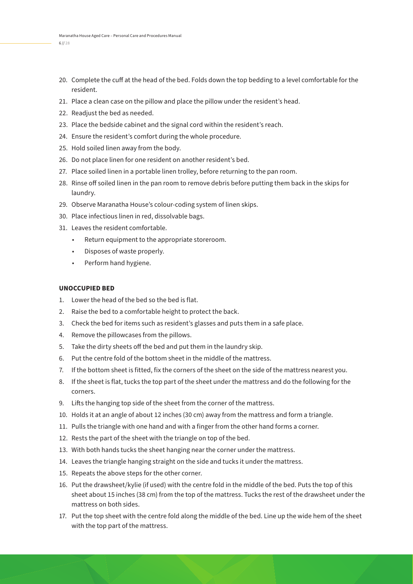- 20. Complete the cuff at the head of the bed. Folds down the top bedding to a level comfortable for the resident.
- 21. Place a clean case on the pillow and place the pillow under the resident's head.
- 22. Readjust the bed as needed.
- 23. Place the bedside cabinet and the signal cord within the resident's reach.
- 24. Ensure the resident's comfort during the whole procedure.
- 25. Hold soiled linen away from the body.
- 26. Do not place linen for one resident on another resident's bed.
- 27. Place soiled linen in a portable linen trolley, before returning to the pan room.
- 28. Rinse off soiled linen in the pan room to remove debris before putting them back in the skips for laundry.
- 29. Observe Maranatha House's colour-coding system of linen skips.
- 30. Place infectious linen in red, dissolvable bags.
- 31. Leaves the resident comfortable.
	- Return equipment to the appropriate storeroom.
	- Disposes of waste properly.
	- Perform hand hygiene.

#### **UNOCCUPIED BED**

- 1. Lower the head of the bed so the bed is flat.
- 2. Raise the bed to a comfortable height to protect the back.
- 3. Check the bed for items such as resident's glasses and puts them in a safe place.
- 4. Remove the pillowcases from the pillows.
- 5. Take the dirty sheets off the bed and put them in the laundry skip.
- 6. Put the centre fold of the bottom sheet in the middle of the mattress.
- 7. If the bottom sheet is fitted, fix the corners of the sheet on the side of the mattress nearest you.
- 8. If the sheet is flat, tucks the top part of the sheet under the mattress and do the following for the corners.
- 9. Lifts the hanging top side of the sheet from the corner of the mattress.
- 10. Holds it at an angle of about 12 inches (30 cm) away from the mattress and form a triangle.
- 11. Pulls the triangle with one hand and with a finger from the other hand forms a corner.
- 12. Rests the part of the sheet with the triangle on top of the bed.
- 13. With both hands tucks the sheet hanging near the corner under the mattress.
- 14. Leaves the triangle hanging straight on the side and tucks it under the mattress.
- 15. Repeats the above steps for the other corner.
- 16. Put the drawsheet/kylie (if used) with the centre fold in the middle of the bed. Puts the top of this sheet about 15 inches (38 cm) from the top of the mattress. Tucks the rest of the drawsheet under the mattress on both sides.
- 17. Put the top sheet with the centre fold along the middle of the bed. Line up the wide hem of the sheet with the top part of the mattress.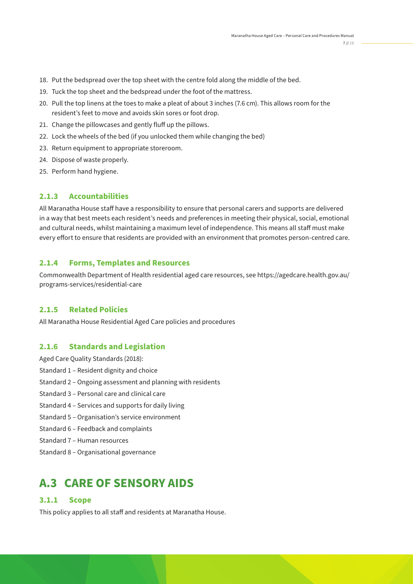- 18. Put the bedspread over the top sheet with the centre fold along the middle of the bed.
- 19. Tuck the top sheet and the bedspread under the foot of the mattress.
- 20. Pull the top linens at the toes to make a pleat of about 3 inches (7.6 cm). This allows room for the resident's feet to move and avoids skin sores or foot drop.
- 21. Change the pillowcases and gently fluff up the pillows.
- 22. Lock the wheels of the bed (if you unlocked them while changing the bed)
- 23. Return equipment to appropriate storeroom.
- 24. Dispose of waste properly.
- 25. Perform hand hygiene.

All Maranatha House staff have a responsibility to ensure that personal carers and supports are delivered in a way that best meets each resident's needs and preferences in meeting their physical, social, emotional and cultural needs, whilst maintaining a maximum level of independence. This means all staff must make every effort to ensure that residents are provided with an environment that promotes person-centred care.

#### **2.1.4 Forms, Templates and Resources**

Commonwealth Department of Health residential aged care resources, see https://agedcare.health.gov.au/ programs-services/residential-care

#### **2.1.5 Related Policies**

All Maranatha House Residential Aged Care policies and procedures

#### **2.1.6 Standards and Legislation**

- Aged Care Quality Standards (2018):
- Standard 1 Resident dignity and choice
- Standard 2 Ongoing assessment and planning with residents
- Standard 3 Personal care and clinical care
- Standard 4 Services and supports for daily living
- Standard 5 Organisation's service environment
- Standard 6 Feedback and complaints
- Standard 7 Human resources
- Standard 8 Organisational governance

### **A.3 CARE OF SENSORY AIDS**

#### **3.1.1 Scope**

This policy applies to all staff and residents at Maranatha House.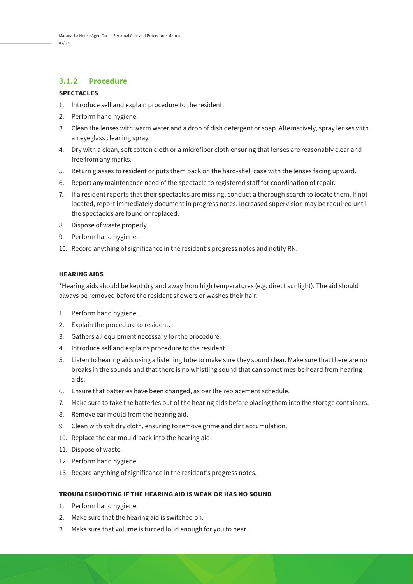#### **3.1.2 Procedure**

#### **SPECTACLES**

- 1. Introduce self and explain procedure to the resident.
- 2. Perform hand hygiene.
- 3. Clean the lenses with warm water and a drop of dish detergent or soap. Alternatively, spray lenses with an eyeglass cleaning spray.
- 4. Dry with a clean, soft cotton cloth or a microfiber cloth ensuring that lenses are reasonably clear and free from any marks.
- 5. Return glasses to resident or puts them back on the hard-shell case with the lenses facing upward.
- 6. Report any maintenance need of the spectacle to registered staff for coordination of repair.
- 7. If a resident reports that their spectacles are missing, conduct a thorough search to locate them. If not located, report immediately document in progress notes. Increased supervision may be required until the spectacles are found or replaced.
- 8. Dispose of waste properly.
- 9. Perform hand hygiene.
- 10. Record anything of significance in the resident's progress notes and notify RN.

#### **HEARING AIDS**

\*Hearing aids should be kept dry and away from high temperatures (e.g. direct sunlight). The aid should always be removed before the resident showers or washes their hair.

- 1. Perform hand hygiene.
- 2. Explain the procedure to resident.
- 3. Gathers all equipment necessary for the procedure.
- 4. Introduce self and explains procedure to the resident.
- 5. Listen to hearing aids using a listening tube to make sure they sound clear. Make sure that there are no breaks in the sounds and that there is no whistling sound that can sometimes be heard from hearing aids.
- 6. Ensure that batteries have been changed, as per the replacement schedule.
- 7. Make sure to take the batteries out of the hearing aids before placing them into the storage containers.
- 8. Remove ear mould from the hearing aid.
- 9. Clean with soft dry cloth, ensuring to remove grime and dirt accumulation.
- 10. Replace the ear mould back into the hearing aid.
- 11. Dispose of waste.
- 12. Perform hand hygiene.
- 13. Record anything of significance in the resident's progress notes.

#### **TROUBLESHOOTING IF THE HEARING AID IS WEAK OR HAS NO SOUND**

- 1. Perform hand hygiene.
- 2. Make sure that the hearing aid is switched on.
- 3. Make sure that volume is turned loud enough for you to hear.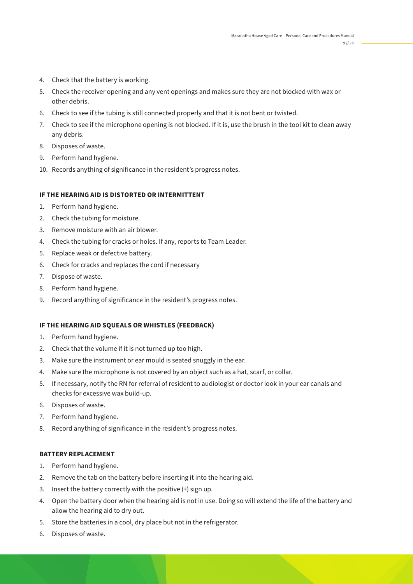- 4. Check that the battery is working.
- 5. Check the receiver opening and any vent openings and makes sure they are not blocked with wax or other debris.
- 6. Check to see if the tubing is still connected properly and that it is not bent or twisted.
- 7. Check to see if the microphone opening is not blocked. If it is, use the brush in the tool kit to clean away any debris.
- 8. Disposes of waste.
- 9. Perform hand hygiene.
- 10. Records anything of significance in the resident's progress notes.

#### **IF THE HEARING AID IS DISTORTED OR INTERMITTENT**

- 1. Perform hand hygiene.
- 2. Check the tubing for moisture.
- 3. Remove moisture with an air blower.
- 4. Check the tubing for cracks or holes. If any, reports to Team Leader.
- 5. Replace weak or defective battery.
- 6. Check for cracks and replaces the cord if necessary
- 7. Dispose of waste.
- 8. Perform hand hygiene.
- 9. Record anything of significance in the resident's progress notes.

#### **IF THE HEARING AID SQUEALS OR WHISTLES (FEEDBACK)**

- 1. Perform hand hygiene.
- 2. Check that the volume if it is not turned up too high.
- 3. Make sure the instrument or ear mould is seated snuggly in the ear.
- 4. Make sure the microphone is not covered by an object such as a hat, scarf, or collar.
- 5. If necessary, notify the RN for referral of resident to audiologist or doctor look in your ear canals and checks for excessive wax build-up.
- 6. Disposes of waste.
- 7. Perform hand hygiene.
- 8. Record anything of significance in the resident's progress notes.

#### **BATTERY REPLACEMENT**

- 1. Perform hand hygiene.
- 2. Remove the tab on the battery before inserting it into the hearing aid.
- 3. Insert the battery correctly with the positive (+) sign up.
- 4. Open the battery door when the hearing aid is not in use. Doing so will extend the life of the battery and allow the hearing aid to dry out.
- 5. Store the batteries in a cool, dry place but not in the refrigerator.
- 6. Disposes of waste.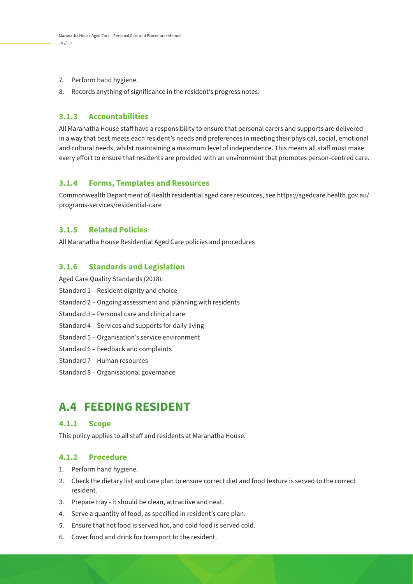- 7. Perform hand hygiene.
- 8. Records anything of significance in the resident's progress notes.

All Maranatha House staff have a responsibility to ensure that personal carers and supports are delivered in a way that best meets each resident's needs and preferences in meeting their physical, social, emotional and cultural needs, whilst maintaining a maximum level of independence. This means all staff must make every effort to ensure that residents are provided with an environment that promotes person-centred care.

#### **3.1.4 Forms, Templates and Resources**

Commonwealth Department of Health residential aged care resources, see https://agedcare.health.gov.au/ programs-services/residential-care

#### **3.1.5 Related Policies**

All Maranatha House Residential Aged Care policies and procedures

#### **3.1.6 Standards and Legislation**

Aged Care Quality Standards (2018):

- Standard 1 Resident dignity and choice
- Standard 2 Ongoing assessment and planning with residents
- Standard 3 Personal care and clinical care
- Standard 4 Services and supports for daily living
- Standard 5 Organisation's service environment
- Standard 6 Feedback and complaints
- Standard 7 Human resources
- Standard 8 Organisational governance

### **A.4 FEEDING RESIDENT**

#### **4.1.1 Scope**

This policy applies to all staff and residents at Maranatha House.

#### **4.1.2 Procedure**

- 1. Perform hand hygiene.
- 2. Check the dietary list and care plan to ensure correct diet and food texture is served to the correct resident.
- 3. Prepare tray it should be clean, attractive and neat.
- 4. Serve a quantity of food, as specified in resident's care plan.
- 5. Ensure that hot food is served hot, and cold food is served cold.
- 6. Cover food and drink for transport to the resident.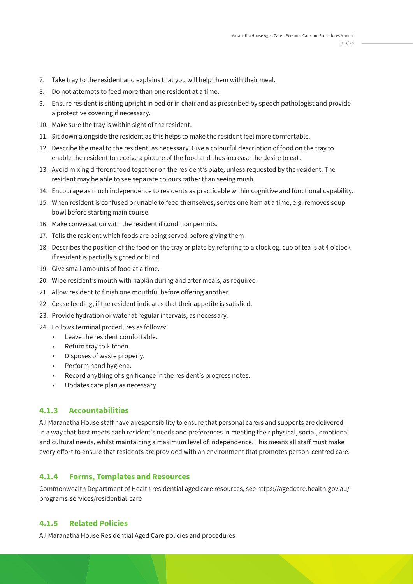- 7. Take tray to the resident and explains that you will help them with their meal.
- 8. Do not attempts to feed more than one resident at a time.
- 9. Ensure resident is sitting upright in bed or in chair and as prescribed by speech pathologist and provide a protective covering if necessary.
- 10. Make sure the tray is within sight of the resident.
- 11. Sit down alongside the resident as this helps to make the resident feel more comfortable.
- 12. Describe the meal to the resident, as necessary. Give a colourful description of food on the tray to enable the resident to receive a picture of the food and thus increase the desire to eat.
- 13. Avoid mixing different food together on the resident's plate, unless requested by the resident. The resident may be able to see separate colours rather than seeing mush.
- 14. Encourage as much independence to residents as practicable within cognitive and functional capability.
- 15. When resident is confused or unable to feed themselves, serves one item at a time, e.g. removes soup bowl before starting main course.
- 16. Make conversation with the resident if condition permits.
- 17. Tells the resident which foods are being served before giving them
- 18. Describes the position of the food on the tray or plate by referring to a clock eg. cup of tea is at 4 o'clock if resident is partially sighted or blind
- 19. Give small amounts of food at a time.
- 20. Wipe resident's mouth with napkin during and after meals, as required.
- 21. Allow resident to finish one mouthful before offering another.
- 22. Cease feeding, if the resident indicates that their appetite is satisfied.
- 23. Provide hydration or water at regular intervals, as necessary.
- 24. Follows terminal procedures as follows:
	- Leave the resident comfortable.
	- Return tray to kitchen.
	- Disposes of waste properly.
	- Perform hand hygiene.
	- Record anything of significance in the resident's progress notes.
	- Updates care plan as necessary.

All Maranatha House staff have a responsibility to ensure that personal carers and supports are delivered in a way that best meets each resident's needs and preferences in meeting their physical, social, emotional and cultural needs, whilst maintaining a maximum level of independence. This means all staff must make every effort to ensure that residents are provided with an environment that promotes person-centred care.

#### **4.1.4 Forms, Templates and Resources**

Commonwealth Department of Health residential aged care resources, see https://agedcare.health.gov.au/ programs-services/residential-care

#### **4.1.5 Related Policies**

All Maranatha House Residential Aged Care policies and procedures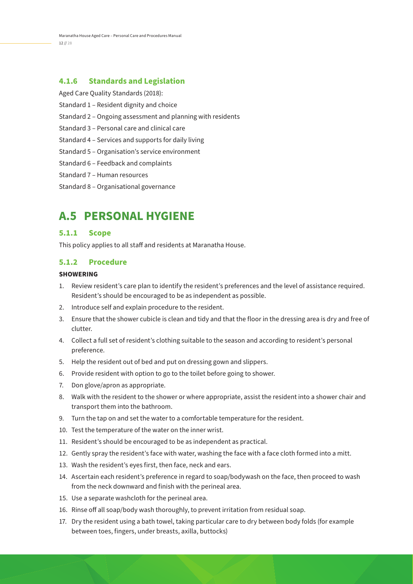Maranatha House Aged Care – Personal Care and Procedures Manual 12 // 28

#### **4.1.6 Standards and Legislation**

- Aged Care Quality Standards (2018): Standard 1 – Resident dignity and choice Standard 2 – Ongoing assessment and planning with residents Standard 3 – Personal care and clinical care Standard 4 – Services and supports for daily living Standard 5 – Organisation's service environment Standard 6 – Feedback and complaints Standard 7 – Human resources
- Standard 8 Organisational governance

### **A.5 PERSONAL HYGIENE**

#### **5.1.1 Scope**

This policy applies to all staff and residents at Maranatha House.

#### **5.1.2 Procedure**

#### **SHOWERING**

- 1. Review resident's care plan to identify the resident's preferences and the level of assistance required. Resident's should be encouraged to be as independent as possible.
- 2. Introduce self and explain procedure to the resident.
- 3. Ensure that the shower cubicle is clean and tidy and that the floor in the dressing area is dry and free of clutter.
- 4. Collect a full set of resident's clothing suitable to the season and according to resident's personal preference.
- 5. Help the resident out of bed and put on dressing gown and slippers.
- 6. Provide resident with option to go to the toilet before going to shower.
- 7. Don glove/apron as appropriate.
- 8. Walk with the resident to the shower or where appropriate, assist the resident into a shower chair and transport them into the bathroom.
- 9. Turn the tap on and set the water to a comfortable temperature for the resident.
- 10. Test the temperature of the water on the inner wrist.
- 11. Resident's should be encouraged to be as independent as practical.
- 12. Gently spray the resident's face with water, washing the face with a face cloth formed into a mitt.
- 13. Wash the resident's eyes first, then face, neck and ears.
- 14. Ascertain each resident's preference in regard to soap/bodywash on the face, then proceed to wash from the neck downward and finish with the perineal area.
- 15. Use a separate washcloth for the perineal area.
- 16. Rinse off all soap/body wash thoroughly, to prevent irritation from residual soap.
- 17. Dry the resident using a bath towel, taking particular care to dry between body folds (for example between toes, fingers, under breasts, axilla, buttocks)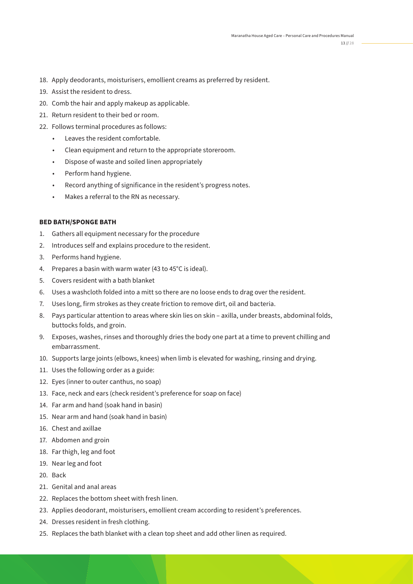- 18. Apply deodorants, moisturisers, emollient creams as preferred by resident.
- 19. Assist the resident to dress.
- 20. Comb the hair and apply makeup as applicable.
- 21. Return resident to their bed or room.
- 22. Follows terminal procedures as follows:
	- Leaves the resident comfortable.
	- Clean equipment and return to the appropriate storeroom.
	- Dispose of waste and soiled linen appropriately
	- Perform hand hygiene.
	- Record anything of significance in the resident's progress notes.
	- Makes a referral to the RN as necessary.

#### **BED BATH/SPONGE BATH**

- 1. Gathers all equipment necessary for the procedure
- 2. Introduces self and explains procedure to the resident.
- 3. Performs hand hygiene.
- 4. Prepares a basin with warm water (43 to 45°C is ideal).
- 5. Covers resident with a bath blanket
- 6. Uses a washcloth folded into a mitt so there are no loose ends to drag over the resident.
- 7. Uses long, firm strokes as they create friction to remove dirt, oil and bacteria.
- 8. Pays particular attention to areas where skin lies on skin axilla, under breasts, abdominal folds, buttocks folds, and groin.
- 9. Exposes, washes, rinses and thoroughly dries the body one part at a time to prevent chilling and embarrassment.
- 10. Supports large joints (elbows, knees) when limb is elevated for washing, rinsing and drying.
- 11. Uses the following order as a guide:
- 12. Eyes (inner to outer canthus, no soap)
- 13. Face, neck and ears (check resident's preference for soap on face)
- 14. Far arm and hand (soak hand in basin)
- 15. Near arm and hand (soak hand in basin)
- 16. Chest and axillae
- 17. Abdomen and groin
- 18. Far thigh, leg and foot
- 19. Near leg and foot
- 20. Back
- 21. Genital and anal areas
- 22. Replaces the bottom sheet with fresh linen.
- 23. Applies deodorant, moisturisers, emollient cream according to resident's preferences.
- 24. Dresses resident in fresh clothing.
- 25. Replaces the bath blanket with a clean top sheet and add other linen as required.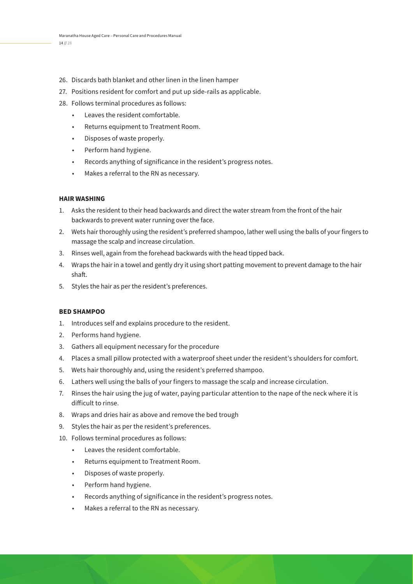- 26. Discards bath blanket and other linen in the linen hamper
- 27. Positions resident for comfort and put up side-rails as applicable.
- 28. Follows terminal procedures as follows:
	- Leaves the resident comfortable.
	- Returns equipment to Treatment Room.
	- Disposes of waste properly.
	- Perform hand hygiene.
	- Records anything of significance in the resident's progress notes.
	- Makes a referral to the RN as necessary.

#### **HAIR WASHING**

- 1. Asks the resident to their head backwards and direct the water stream from the front of the hair backwards to prevent water running over the face.
- 2. Wets hair thoroughly using the resident's preferred shampoo, lather well using the balls of your fingers to massage the scalp and increase circulation.
- 3. Rinses well, again from the forehead backwards with the head tipped back.
- 4. Wraps the hair in a towel and gently dry it using short patting movement to prevent damage to the hair shaft.
- 5. Styles the hair as per the resident's preferences.

#### **BED SHAMPOO**

- 1. Introduces self and explains procedure to the resident.
- 2. Performs hand hygiene.
- 3. Gathers all equipment necessary for the procedure
- 4. Places a small pillow protected with a waterproof sheet under the resident's shoulders for comfort.
- 5. Wets hair thoroughly and, using the resident's preferred shampoo.
- 6. Lathers well using the balls of your fingers to massage the scalp and increase circulation.
- 7. Rinses the hair using the jug of water, paying particular attention to the nape of the neck where it is difficult to rinse.
- 8. Wraps and dries hair as above and remove the bed trough
- 9. Styles the hair as per the resident's preferences.
- 10. Follows terminal procedures as follows:
	- Leaves the resident comfortable.
	- Returns equipment to Treatment Room.
	- Disposes of waste properly.
	- Perform hand hygiene.
	- Records anything of significance in the resident's progress notes.
	- Makes a referral to the RN as necessary.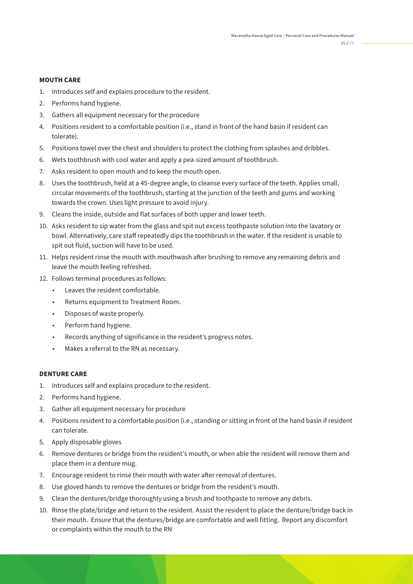#### **MOUTH CARE**

- 1. Introduces self and explains procedure to the resident.
- 2. Performs hand hygiene.
- 3. Gathers all equipment necessary for the procedure
- 4. Positions resident to a comfortable position (i.e., stand in front of the hand basin if resident can tolerate).
- 5. Positions towel over the chest and shoulders to protect the clothing from splashes and dribbles.
- 6. Wets toothbrush with cool water and apply a pea-sized amount of toothbrush.
- 7. Asks resident to open mouth and to keep the mouth open.
- 8. Uses the toothbrush, held at a 45-degree angle, to cleanse every surface of the teeth. Applies small, circular movements of the toothbrush, starting at the junction of the teeth and gums and working towards the crown. Uses light pressure to avoid injury.
- 9. Cleans the inside, outside and flat surfaces of both upper and lower teeth.
- 10. Asks resident to sip water from the glass and spit out excess toothpaste solution into the lavatory or bowl. Alternatively, care staff repeatedly dips the toothbrush in the water. If the resident is unable to spit out fluid, suction will have to be used.
- 11. Helps resident rinse the mouth with mouthwash after brushing to remove any remaining debris and leave the mouth feeling refreshed.
- 12. Follows terminal procedures as follows:
	- Leaves the resident comfortable.
	- Returns equipment to Treatment Room.
	- Disposes of waste properly.
	- Perform hand hygiene.
	- Records anything of significance in the resident's progress notes.
	- Makes a referral to the RN as necessary.

#### **DENTURE CARE**

- 1. Introduces self and explains procedure to the resident.
- 2. Performs hand hygiene.
- 3. Gather all equipment necessary for procedure
- 4. Positions resident to a comfortable position (i.e., standing or sitting in front of the hand basin if resident can tolerate.
- 5. Apply disposable gloves
- 6. Remove dentures or bridge from the resident's mouth, or when able the resident will remove them and place them in a denture mug.
- 7. Encourage resident to rinse their mouth with water after removal of dentures.
- 8. Use gloved hands to remove the dentures or bridge from the resident's mouth.
- 9. Clean the dentures/bridge thoroughly using a brush and toothpaste to remove any debris.
- 10. Rinse the plate/bridge and return to the resident. Assist the resident to place the denture/bridge back in their mouth. Ensure that the dentures/bridge are comfortable and well fitting. Report any discomfort or complaints within the mouth to the RN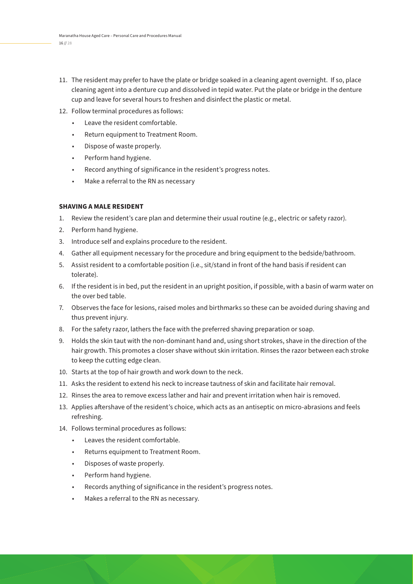- 11. The resident may prefer to have the plate or bridge soaked in a cleaning agent overnight. If so, place cleaning agent into a denture cup and dissolved in tepid water. Put the plate or bridge in the denture cup and leave for several hours to freshen and disinfect the plastic or metal.
- 12. Follow terminal procedures as follows:
	- Leave the resident comfortable.
	- Return equipment to Treatment Room.
	- Dispose of waste properly.
	- Perform hand hygiene.
	- Record anything of significance in the resident's progress notes.
	- Make a referral to the RN as necessary

#### **SHAVING A MALE RESIDENT**

- 1. Review the resident's care plan and determine their usual routine (e.g., electric or safety razor).
- 2. Perform hand hygiene.
- 3. Introduce self and explains procedure to the resident.
- 4. Gather all equipment necessary for the procedure and bring equipment to the bedside/bathroom.
- 5. Assist resident to a comfortable position (i.e., sit/stand in front of the hand basis if resident can tolerate).
- 6. If the resident is in bed, put the resident in an upright position, if possible, with a basin of warm water on the over bed table.
- 7. Observes the face for lesions, raised moles and birthmarks so these can be avoided during shaving and thus prevent injury.
- 8. For the safety razor, lathers the face with the preferred shaving preparation or soap.
- 9. Holds the skin taut with the non-dominant hand and, using short strokes, shave in the direction of the hair growth. This promotes a closer shave without skin irritation. Rinses the razor between each stroke to keep the cutting edge clean.
- 10. Starts at the top of hair growth and work down to the neck.
- 11. Asks the resident to extend his neck to increase tautness of skin and facilitate hair removal.
- 12. Rinses the area to remove excess lather and hair and prevent irritation when hair is removed.
- 13. Applies aftershave of the resident's choice, which acts as an antiseptic on micro-abrasions and feels refreshing.
- 14. Follows terminal procedures as follows:
	- Leaves the resident comfortable.
	- Returns equipment to Treatment Room.
	- Disposes of waste properly.
	- Perform hand hygiene.
	- Records anything of significance in the resident's progress notes.
	- Makes a referral to the RN as necessary.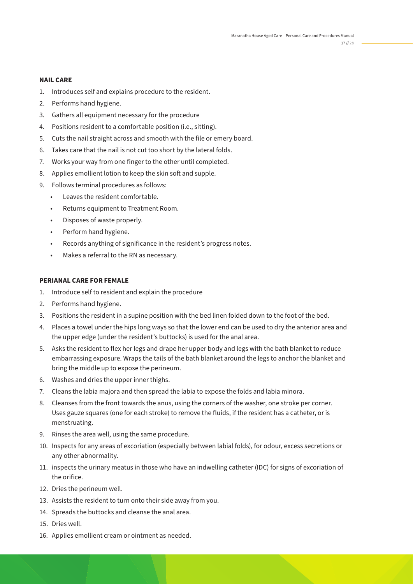#### **NAIL CARE**

- 1. Introduces self and explains procedure to the resident.
- 2. Performs hand hygiene.
- 3. Gathers all equipment necessary for the procedure
- 4. Positions resident to a comfortable position (i.e., sitting).
- 5. Cuts the nail straight across and smooth with the file or emery board.
- 6. Takes care that the nail is not cut too short by the lateral folds.
- 7. Works your way from one finger to the other until completed.
- 8. Applies emollient lotion to keep the skin soft and supple.
- 9. Follows terminal procedures as follows:
	- Leaves the resident comfortable.
	- Returns equipment to Treatment Room.
	- Disposes of waste properly.
	- Perform hand hygiene.
	- Records anything of significance in the resident's progress notes.
	- Makes a referral to the RN as necessary.

#### **PERIANAL CARE FOR FEMALE**

- 1. Introduce self to resident and explain the procedure
- 2. Performs hand hygiene.
- 3. Positions the resident in a supine position with the bed linen folded down to the foot of the bed.
- 4. Places a towel under the hips long ways so that the lower end can be used to dry the anterior area and the upper edge (under the resident's buttocks) is used for the anal area.
- 5. Asks the resident to flex her legs and drape her upper body and legs with the bath blanket to reduce embarrassing exposure. Wraps the tails of the bath blanket around the legs to anchor the blanket and bring the middle up to expose the perineum.
- 6. Washes and dries the upper inner thighs.
- 7. Cleans the labia majora and then spread the labia to expose the folds and labia minora.
- 8. Cleanses from the front towards the anus, using the corners of the washer, one stroke per corner. Uses gauze squares (one for each stroke) to remove the fluids, if the resident has a catheter, or is menstruating.
- 9. Rinses the area well, using the same procedure.
- 10. Inspects for any areas of excoriation (especially between labial folds), for odour, excess secretions or any other abnormality.
- 11. inspects the urinary meatus in those who have an indwelling catheter (IDC) for signs of excoriation of the orifice.
- 12. Dries the perineum well.
- 13. Assists the resident to turn onto their side away from you.
- 14. Spreads the buttocks and cleanse the anal area.
- 15. Dries well.
- 16. Applies emollient cream or ointment as needed.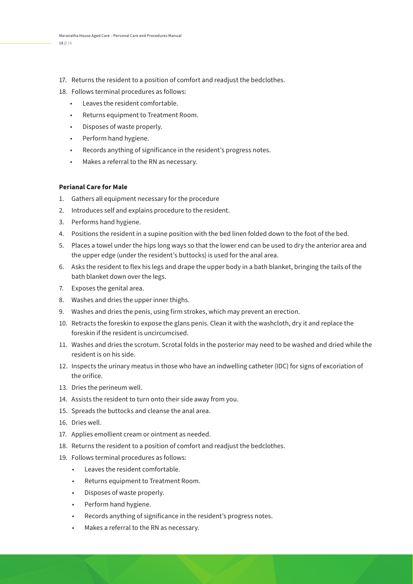- 17. Returns the resident to a position of comfort and readjust the bedclothes.
- 18. Follows terminal procedures as follows:
	- Leaves the resident comfortable.
	- Returns equipment to Treatment Room.
	- Disposes of waste properly.
	- Perform hand hygiene.
	- Records anything of significance in the resident's progress notes.
	- Makes a referral to the RN as necessary.

#### **Perianal Care for Male**

- 1. Gathers all equipment necessary for the procedure
- 2. Introduces self and explains procedure to the resident.
- 3. Performs hand hygiene.
- 4. Positions the resident in a supine position with the bed linen folded down to the foot of the bed.
- 5. Places a towel under the hips long ways so that the lower end can be used to dry the anterior area and the upper edge (under the resident's buttocks) is used for the anal area.
- 6. Asks the resident to flex his legs and drape the upper body in a bath blanket, bringing the tails of the bath blanket down over the legs.
- 7. Exposes the genital area.
- 8. Washes and dries the upper inner thighs.
- 9. Washes and dries the penis, using firm strokes, which may prevent an erection.
- 10. Retracts the foreskin to expose the glans penis. Clean it with the washcloth, dry it and replace the foreskin if the resident is uncircumcised.
- 11. Washes and dries the scrotum. Scrotal folds in the posterior may need to be washed and dried while the resident is on his side.
- 12. Inspects the urinary meatus in those who have an indwelling catheter (IDC) for signs of excoriation of the orifice.
- 13. Dries the perineum well.
- 14. Assists the resident to turn onto their side away from you.
- 15. Spreads the buttocks and cleanse the anal area.
- 16. Dries well.
- 17. Applies emollient cream or ointment as needed.
- 18. Returns the resident to a position of comfort and readjust the bedclothes.
- 19. Follows terminal procedures as follows:
	- Leaves the resident comfortable.
	- Returns equipment to Treatment Room.
	- Disposes of waste properly.
	- Perform hand hygiene.
	- Records anything of significance in the resident's progress notes.
	- Makes a referral to the RN as necessary.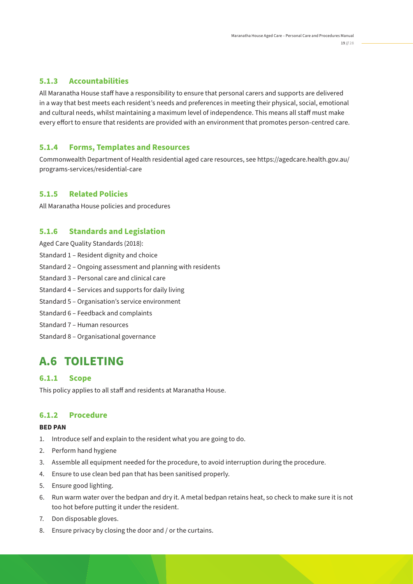All Maranatha House staff have a responsibility to ensure that personal carers and supports are delivered in a way that best meets each resident's needs and preferences in meeting their physical, social, emotional and cultural needs, whilst maintaining a maximum level of independence. This means all staff must make every effort to ensure that residents are provided with an environment that promotes person-centred care.

#### **5.1.4 Forms, Templates and Resources**

Commonwealth Department of Health residential aged care resources, see https://agedcare.health.gov.au/ programs-services/residential-care

#### **5.1.5 Related Policies**

All Maranatha House policies and procedures

#### **5.1.6 Standards and Legislation**

Aged Care Quality Standards (2018):

- Standard 1 Resident dignity and choice
- Standard 2 Ongoing assessment and planning with residents
- Standard 3 Personal care and clinical care
- Standard 4 Services and supports for daily living
- Standard 5 Organisation's service environment
- Standard 6 Feedback and complaints
- Standard 7 Human resources
- Standard 8 Organisational governance

### **A.6 TOILETING**

#### **6.1.1 Scope**

This policy applies to all staff and residents at Maranatha House.

#### **6.1.2 Procedure**

#### **BED PAN**

- 1. Introduce self and explain to the resident what you are going to do.
- 2. Perform hand hygiene
- 3. Assemble all equipment needed for the procedure, to avoid interruption during the procedure.
- 4. Ensure to use clean bed pan that has been sanitised properly.
- 5. Ensure good lighting.
- 6. Run warm water over the bedpan and dry it. A metal bedpan retains heat, so check to make sure it is not too hot before putting it under the resident.
- 7. Don disposable gloves.
- 8. Ensure privacy by closing the door and / or the curtains.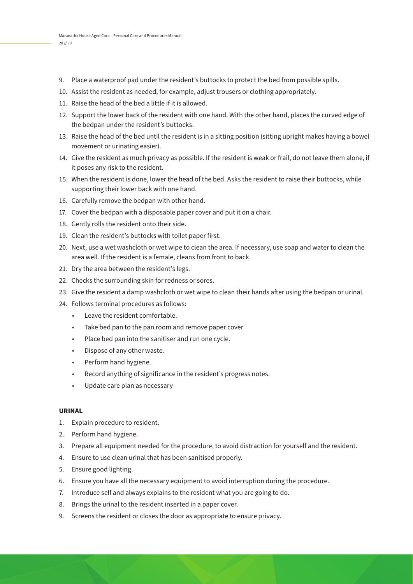- 9. Place a waterproof pad under the resident's buttocks to protect the bed from possible spills.
- 10. Assist the resident as needed; for example, adjust trousers or clothing appropriately.
- 11. Raise the head of the bed a little if it is allowed.
- 12. Support the lower back of the resident with one hand. With the other hand, places the curved edge of the bedpan under the resident's buttocks.
- 13. Raise the head of the bed until the resident is in a sitting position (sitting upright makes having a bowel movement or urinating easier).
- 14. Give the resident as much privacy as possible. If the resident is weak or frail, do not leave them alone, if it poses any risk to the resident.
- 15. When the resident is done, lower the head of the bed. Asks the resident to raise their buttocks, while supporting their lower back with one hand.
- 16. Carefully remove the bedpan with other hand.
- 17. Cover the bedpan with a disposable paper cover and put it on a chair.
- 18. Gently rolls the resident onto their side.
- 19. Clean the resident's buttocks with toilet paper first.
- 20. Next, use a wet washcloth or wet wipe to clean the area. If necessary, use soap and water to clean the area well. If the resident is a female, cleans from front to back.
- 21. Dry the area between the resident's legs.
- 22. Checks the surrounding skin for redness or sores.
- 23. Give the resident a damp washcloth or wet wipe to clean their hands after using the bedpan or urinal.
- 24. Follows terminal procedures as follows:
	- Leave the resident comfortable.
	- Take bed pan to the pan room and remove paper cover
	- Place bed pan into the sanitiser and run one cycle.
	- Dispose of any other waste.
	- Perform hand hygiene.
	- Record anything of significance in the resident's progress notes.
	- Update care plan as necessary

#### **URINAL**

- 1. Explain procedure to resident.
- 2. Perform hand hygiene.
- 3. Prepare all equipment needed for the procedure, to avoid distraction for yourself and the resident.
- 4. Ensure to use clean urinal that has been sanitised properly.
- 5. Ensure good lighting.
- 6. Ensure you have all the necessary equipment to avoid interruption during the procedure.
- 7. Introduce self and always explains to the resident what you are going to do.
- 8. Brings the urinal to the resident inserted in a paper cover.
- 9. Screens the resident or closes the door as appropriate to ensure privacy.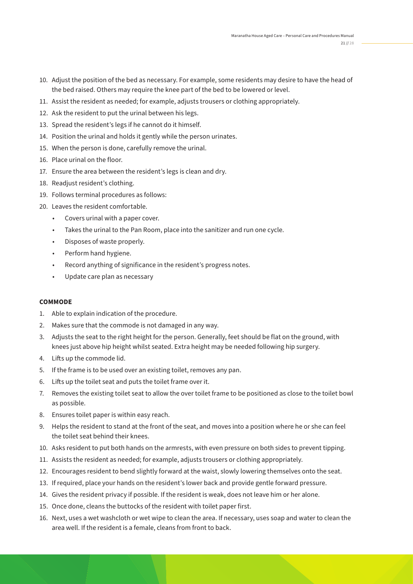- 10. Adjust the position of the bed as necessary. For example, some residents may desire to have the head of the bed raised. Others may require the knee part of the bed to be lowered or level.
- 11. Assist the resident as needed; for example, adjusts trousers or clothing appropriately.
- 12. Ask the resident to put the urinal between his legs.
- 13. Spread the resident's legs if he cannot do it himself.
- 14. Position the urinal and holds it gently while the person urinates.
- 15. When the person is done, carefully remove the urinal.
- 16. Place urinal on the floor.
- 17. Ensure the area between the resident's legs is clean and dry.
- 18. Readjust resident's clothing.
- 19. Follows terminal procedures as follows:
- 20. Leaves the resident comfortable.
	- Covers urinal with a paper cover.
	- Takes the urinal to the Pan Room, place into the sanitizer and run one cycle.
	- Disposes of waste properly.
	- Perform hand hygiene.
	- Record anything of significance in the resident's progress notes.
	- Update care plan as necessary

#### **COMMODE**

- 1. Able to explain indication of the procedure.
- 2. Makes sure that the commode is not damaged in any way.
- 3. Adjusts the seat to the right height for the person. Generally, feet should be flat on the ground, with knees just above hip height whilst seated. Extra height may be needed following hip surgery.
- 4. Lifts up the commode lid.
- 5. If the frame is to be used over an existing toilet, removes any pan.
- 6. Lifts up the toilet seat and puts the toilet frame over it.
- 7. Removes the existing toilet seat to allow the over toilet frame to be positioned as close to the toilet bowl as possible.
- 8. Ensures toilet paper is within easy reach.
- 9. Helps the resident to stand at the front of the seat, and moves into a position where he or she can feel the toilet seat behind their knees.
- 10. Asks resident to put both hands on the armrests, with even pressure on both sides to prevent tipping.
- 11. Assists the resident as needed; for example, adjusts trousers or clothing appropriately.
- 12. Encourages resident to bend slightly forward at the waist, slowly lowering themselves onto the seat.
- 13. If required, place your hands on the resident's lower back and provide gentle forward pressure.
- 14. Gives the resident privacy if possible. If the resident is weak, does not leave him or her alone.
- 15. Once done, cleans the buttocks of the resident with toilet paper first.
- 16. Next, uses a wet washcloth or wet wipe to clean the area. If necessary, uses soap and water to clean the area well. If the resident is a female, cleans from front to back.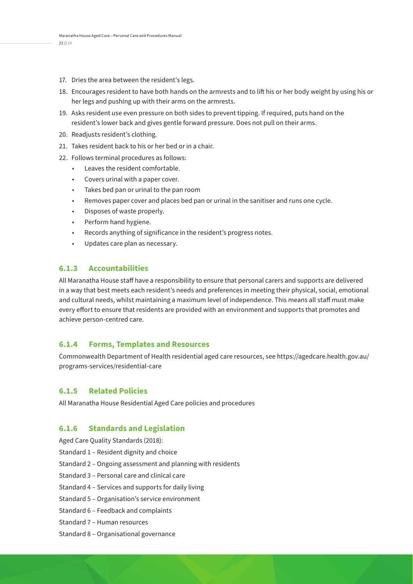- 17. Dries the area between the resident's legs.
- 18. Encourages resident to have both hands on the armrests and to lift his or her body weight by using his or her legs and pushing up with their arms on the armrests.
- 19. Asks resident use even pressure on both sides to prevent tipping. If required, puts hand on the resident's lower back and gives gentle forward pressure. Does not pull on their arms.
- 20. Readjusts resident's clothing.
- 21. Takes resident back to his or her bed or in a chair.
- 22. Follows terminal procedures as follows:
	- Leaves the resident comfortable.
	- Covers urinal with a paper cover.
	- Takes bed pan or urinal to the pan room
	- Removes paper cover and places bed pan or urinal in the sanitiser and runs one cycle.
	- Disposes of waste properly.
	- Perform hand hygiene.
	- Records anything of significance in the resident's progress notes.
	- Updates care plan as necessary.

All Maranatha House staff have a responsibility to ensure that personal carers and supports are delivered in a way that best meets each resident's needs and preferences in meeting their physical, social, emotional and cultural needs, whilst maintaining a maximum level of independence. This means all staff must make every effort to ensure that residents are provided with an environment and supports that promotes and achieve person-centred care.

#### **6.1.4 Forms, Templates and Resources**

Commonwealth Department of Health residential aged care resources, see https://agedcare.health.gov.au/ programs-services/residential-care

#### **6.1.5 Related Policies**

All Maranatha House Residential Aged Care policies and procedures

#### **6.1.6 Standards and Legislation**

Aged Care Quality Standards (2018):

- Standard 1 Resident dignity and choice
- Standard 2 Ongoing assessment and planning with residents
- Standard 3 Personal care and clinical care
- Standard 4 Services and supports for daily living
- Standard 5 Organisation's service environment
- Standard 6 Feedback and complaints
- Standard 7 Human resources
- Standard 8 Organisational governance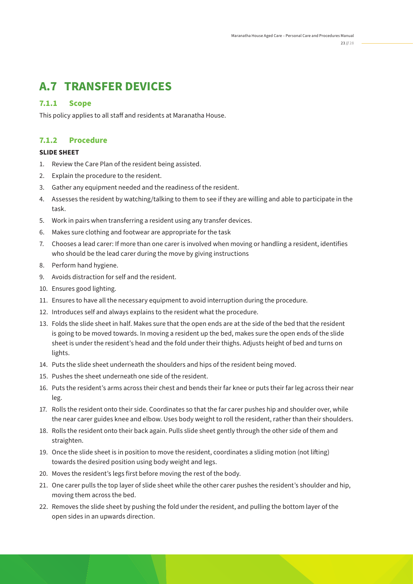## **A.7 TRANSFER DEVICES**

#### **7.1.1 Scope**

This policy applies to all staff and residents at Maranatha House.

#### **7.1.2 Procedure**

#### **SLIDE SHEET**

- 1. Review the Care Plan of the resident being assisted.
- 2. Explain the procedure to the resident.
- 3. Gather any equipment needed and the readiness of the resident.
- 4. Assesses the resident by watching/talking to them to see if they are willing and able to participate in the task.
- 5. Work in pairs when transferring a resident using any transfer devices.
- 6. Makes sure clothing and footwear are appropriate for the task
- 7. Chooses a lead carer: If more than one carer is involved when moving or handling a resident, identifies who should be the lead carer during the move by giving instructions
- 8. Perform hand hygiene.
- 9. Avoids distraction for self and the resident.
- 10. Ensures good lighting.
- 11. Ensures to have all the necessary equipment to avoid interruption during the procedure.
- 12. Introduces self and always explains to the resident what the procedure.
- 13. Folds the slide sheet in half. Makes sure that the open ends are at the side of the bed that the resident is going to be moved towards. In moving a resident up the bed, makes sure the open ends of the slide sheet is under the resident's head and the fold under their thighs. Adjusts height of bed and turns on lights.
- 14. Puts the slide sheet underneath the shoulders and hips of the resident being moved.
- 15. Pushes the sheet underneath one side of the resident.
- 16. Puts the resident's arms across their chest and bends their far knee or puts their far leg across their near leg.
- 17. Rolls the resident onto their side. Coordinates so that the far carer pushes hip and shoulder over, while the near carer guides knee and elbow. Uses body weight to roll the resident, rather than their shoulders.
- 18. Rolls the resident onto their back again. Pulls slide sheet gently through the other side of them and straighten.
- 19. Once the slide sheet is in position to move the resident, coordinates a sliding motion (not lifting) towards the desired position using body weight and legs.
- 20. Moves the resident's legs first before moving the rest of the body.
- 21. One carer pulls the top layer of slide sheet while the other carer pushes the resident's shoulder and hip, moving them across the bed.
- 22. Removes the slide sheet by pushing the fold under the resident, and pulling the bottom layer of the open sides in an upwards direction.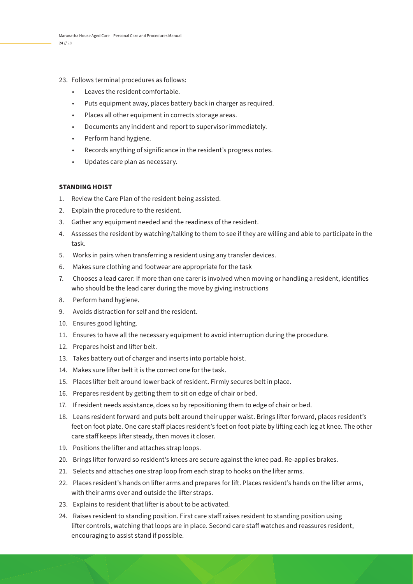- 23. Follows terminal procedures as follows:
	- Leaves the resident comfortable.
	- Puts equipment away, places battery back in charger as required.
	- Places all other equipment in corrects storage areas.
	- Documents any incident and report to supervisor immediately.
	- Perform hand hygiene.
	- Records anything of significance in the resident's progress notes.
	- Updates care plan as necessary.

#### **STANDING HOIST**

- 1. Review the Care Plan of the resident being assisted.
- 2. Explain the procedure to the resident.
- 3. Gather any equipment needed and the readiness of the resident.
- 4. Assesses the resident by watching/talking to them to see if they are willing and able to participate in the task.
- 5. Works in pairs when transferring a resident using any transfer devices.
- 6. Makes sure clothing and footwear are appropriate for the task
- 7. Chooses a lead carer: If more than one carer is involved when moving or handling a resident, identifies who should be the lead carer during the move by giving instructions
- 8. Perform hand hygiene.
- 9. Avoids distraction for self and the resident.
- 10. Ensures good lighting.
- 11. Ensures to have all the necessary equipment to avoid interruption during the procedure.
- 12. Prepares hoist and lifter belt.
- 13. Takes battery out of charger and inserts into portable hoist.
- 14. Makes sure lifter belt it is the correct one for the task.
- 15. Places lifter belt around lower back of resident. Firmly secures belt in place.
- 16. Prepares resident by getting them to sit on edge of chair or bed.
- 17. If resident needs assistance, does so by repositioning them to edge of chair or bed.
- 18. Leans resident forward and puts belt around their upper waist. Brings lifter forward, places resident's feet on foot plate. One care staff places resident's feet on foot plate by lifting each leg at knee. The other care staff keeps lifter steady, then moves it closer.
- 19. Positions the lifter and attaches strap loops.
- 20. Brings lifter forward so resident's knees are secure against the knee pad. Re-applies brakes.
- 21. Selects and attaches one strap loop from each strap to hooks on the lifter arms.
- 22. Places resident's hands on lifter arms and prepares for lift. Places resident's hands on the lifter arms, with their arms over and outside the lifter straps.
- 23. Explains to resident that lifter is about to be activated.
- 24. Raises resident to standing position. First care staff raises resident to standing position using lifter controls, watching that loops are in place. Second care staff watches and reassures resident, encouraging to assist stand if possible.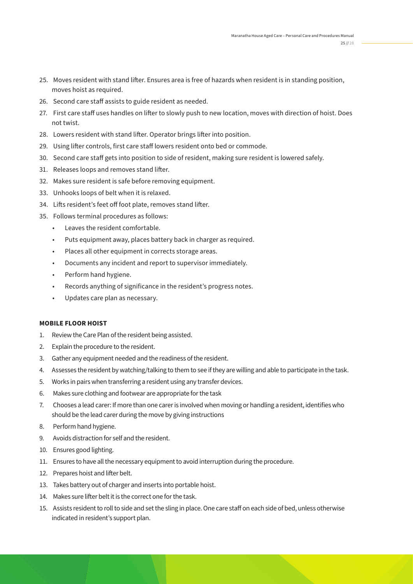- 25. Moves resident with stand lifter. Ensures area is free of hazards when resident is in standing position, moves hoist as required.
- 26. Second care staff assists to guide resident as needed.
- 27. First care staff uses handles on lifter to slowly push to new location, moves with direction of hoist. Does not twist.
- 28. Lowers resident with stand lifter. Operator brings lifter into position.
- 29. Using lifter controls, first care staff lowers resident onto bed or commode.
- 30. Second care staff gets into position to side of resident, making sure resident is lowered safely.
- 31. Releases loops and removes stand lifter.
- 32. Makes sure resident is safe before removing equipment.
- 33. Unhooks loops of belt when it is relaxed.
- 34. Lifts resident's feet off foot plate, removes stand lifter.
- 35. Follows terminal procedures as follows:
	- Leaves the resident comfortable.
	- Puts equipment away, places battery back in charger as required.
	- Places all other equipment in corrects storage areas.
	- Documents any incident and report to supervisor immediately.
	- Perform hand hygiene.
	- Records anything of significance in the resident's progress notes.
	- Updates care plan as necessary.

#### **MOBILE FLOOR HOIST**

- 1. Review the Care Plan of the resident being assisted.
- 2. Explain the procedure to the resident.
- 3. Gather any equipment needed and the readiness of the resident.
- 4. Assesses the resident by watching/talking to them to see if they are willing and able to participate in the task.
- 5. Works in pairs when transferring a resident using any transfer devices.
- 6. Makes sure clothing and footwear are appropriate for the task
- 7. Chooses a lead carer: If more than one carer is involved when moving or handling a resident, identifies who should be the lead carer during the move by giving instructions
- 8. Perform hand hygiene.
- 9. Avoids distraction for self and the resident.
- 10. Ensures good lighting.
- 11. Ensures to have all the necessary equipment to avoid interruption during the procedure.
- 12. Prepares hoist and lifter belt.
- 13. Takes battery out of charger and inserts into portable hoist.
- 14. Makes sure lifter belt it is the correct one for the task.
- 15. Assists resident to roll to side and set the sling in place. One care staff on each side of bed, unless otherwise indicated in resident's support plan.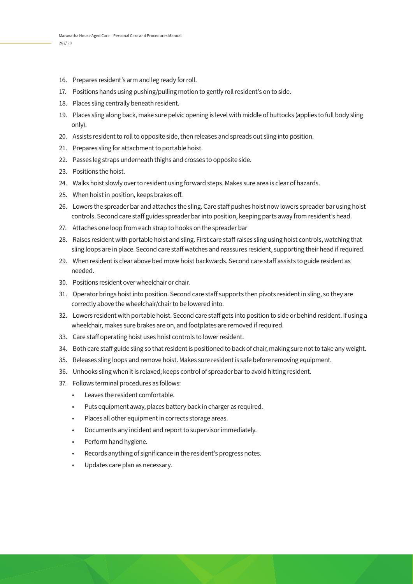- 16. Prepares resident's arm and leg ready for roll.
- 17. Positions hands using pushing/pulling motion to gently roll resident's on to side.
- 18. Places sling centrally beneath resident.
- 19. Places sling along back, make sure pelvic opening is level with middle of buttocks (applies to full body sling only).
- 20. Assists resident to roll to opposite side, then releases and spreads out sling into position.
- 21. Prepares sling for attachment to portable hoist.
- 22. Passes leg straps underneath thighs and crosses to opposite side.
- 23. Positions the hoist.
- 24. Walks hoist slowly over to resident using forward steps. Makes sure area is clear of hazards.
- 25. When hoist in position, keeps brakes off.
- 26. Lowers the spreader bar and attaches the sling. Care staff pushes hoist now lowers spreader bar using hoist controls. Second care staff guides spreader bar into position, keeping parts away from resident's head.
- 27. Attaches one loop from each strap to hooks on the spreader bar
- 28. Raises resident with portable hoist and sling. First care staff raises sling using hoist controls, watching that sling loops are in place. Second care staff watches and reassures resident, supporting their head if required.
- 29. When resident is clear above bed move hoist backwards. Second care staff assists to guide resident as needed.
- 30. Positions resident over wheelchair or chair.
- 31. Operator brings hoist into position. Second care staff supports then pivots resident in sling, so they are correctly above the wheelchair/chair to be lowered into.
- 32. Lowers resident with portable hoist. Second care staff gets into position to side or behind resident. If using a wheelchair, makes sure brakes are on, and footplates are removed if required.
- 33. Care staff operating hoist uses hoist controls to lower resident.
- 34. Both care staff guide sling so that resident is positioned to back of chair, making sure not to take any weight.
- 35. Releases sling loops and remove hoist. Makes sure resident is safe before removing equipment.
- 36. Unhooks sling when it is relaxed; keeps control of spreader bar to avoid hitting resident.
- 37. Follows terminal procedures as follows:
	- Leaves the resident comfortable.
	- Puts equipment away, places battery back in charger as required.
	- Places all other equipment in corrects storage areas.
	- Documents any incident and report to supervisor immediately.
	- Perform hand hygiene.
	- Records anything of significance in the resident's progress notes.
	- Updates care plan as necessary.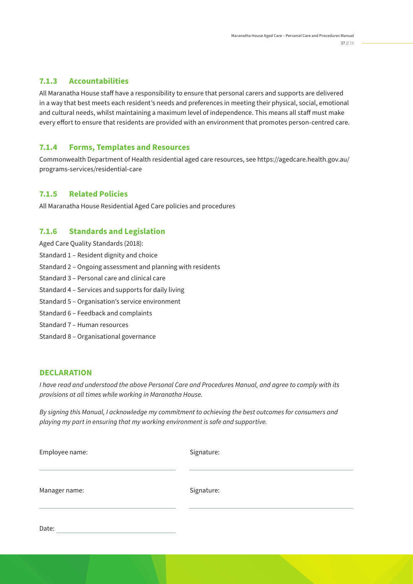All Maranatha House staff have a responsibility to ensure that personal carers and supports are delivered in a way that best meets each resident's needs and preferences in meeting their physical, social, emotional and cultural needs, whilst maintaining a maximum level of independence. This means all staff must make every effort to ensure that residents are provided with an environment that promotes person-centred care.

#### **7.1.4 Forms, Templates and Resources**

Commonwealth Department of Health residential aged care resources, see https://agedcare.health.gov.au/ programs-services/residential-care

#### **7.1.5 Related Policies**

All Maranatha House Residential Aged Care policies and procedures

#### **7.1.6 Standards and Legislation**

Aged Care Quality Standards (2018):

- Standard 1 Resident dignity and choice
- Standard 2 Ongoing assessment and planning with residents
- Standard 3 Personal care and clinical care
- Standard 4 Services and supports for daily living
- Standard 5 Organisation's service environment
- Standard 6 Feedback and complaints
- Standard 7 Human resources
- Standard 8 Organisational governance

#### **DECLARATION**

Date:

I have read and understood the above Personal Care and Procedures Manual, and agree to comply with its provisions at all times while working in Maranatha House.

By signing this Manual, I acknowledge my commitment to achieving the best outcomes for consumers and playing my part in ensuring that my working environment is safe and supportive.

| Employee name: | Signature: |  |
|----------------|------------|--|
| Manager name:  | Signature: |  |
|                |            |  |